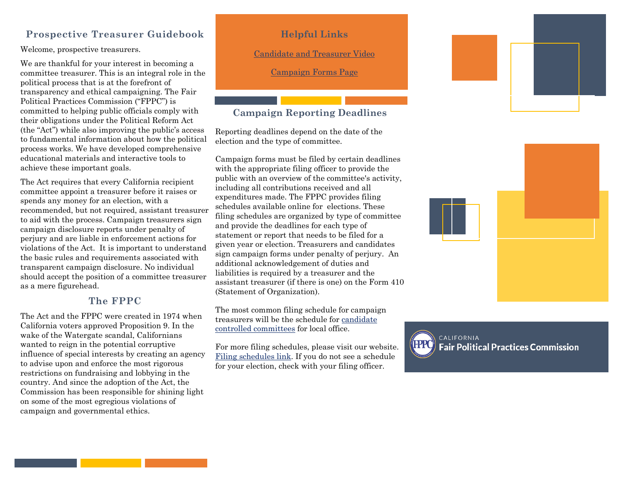#### **Prospective Treasurer Guidebook**

Welcome, prospective treasurers.

We are thankful for your interest in becoming a committee treasurer. This is an integral role in the political process that is at the forefront of transparency and ethical campaigning. The Fair Political Practices Commission ("FPPC") is committed to helping public officials comply with their obligations under the Political Reform Act (the "Act") while also improving the public's access to fundamental information about how the political process works. We have developed comprehensive educational materials and interactive tools to achieve these important goals.

The Act requires that every California recipient committee appoint a treasurer before it raises or spends any money for an election, with a recommended, but not required, assistant treasurer to aid with the process. Campaign treasurers sign campaign disclosure reports under penalty of perjury and are liable in enforcement actions for violations of the Act. It is important to understand the basic rules and requirements associated with transparent campaign disclosure. No individual should accept the position of a committee treasurer as a mere figurehead.

#### **The FPPC**

The Act and the FPPC were created in 1974 when California voters approved Proposition 9. In the wake of the Watergate scandal, Californians wanted to reign in the potential corruptive influence of special interests by creating an agency to advise upon and enforce the most rigorous restrictions on fundraising and lobbying in the country. And since the adoption of the Act, the Commission has been responsible for shining light on some of the most egregious violations of campaign and governmental ethics.

#### **Helpful Links**

[Candidate and Treasurer](https://www.youtube.com/watch?v=sLXfEGpyExw) Video

[Campaign Forms Page](http://www.fppc.ca.gov/learn/campaign-rules/campaign-forms.html)

### **Campaign Reporting Deadlines**

Reporting deadlines depend on the date of the election and the type of committee.

Campaign forms must be filed by certain deadlines with the appropriate filing officer to provide the public with an overview of the committee's activity, including all contributions received and all expenditures made. The FPPC provides filing schedules available online for elections. These filing schedules are organized by type of committee and provide the deadlines for each type of statement or report that needs to be filed for a given year or election. Treasurers and candidates sign campaign forms under penalty of perjury. An additional acknowledgement of duties and liabilities is required by a treasurer and the assistant treasurer (if there is one) on the Form 410 (Statement of Organization).

The most common filing schedule for campaign treasurers will be the schedule for [candidate](http://www.fppc.ca.gov/content/dam/fppc/NS-Documents/TAD/Filing%20Schedules/2019/2019_07_Local_Nov_5_Cand.pdf)  [controlled committees](http://www.fppc.ca.gov/content/dam/fppc/NS-Documents/TAD/Filing%20Schedules/2019/2019_07_Local_Nov_5_Cand.pdf) for local office.

For more filing schedules, please visit our website. [Filing schedules l](https://www.fppc.ca.gov/learn/campaign-rules/where-and-when-to-file-campaign-statements/when-to-file-campaign-statements-state-local-filing-schedules.html)ink. If you do not see a schedule for your election, check with your filing officer.







CALIFORNIA **Fair Political Practices Commission**